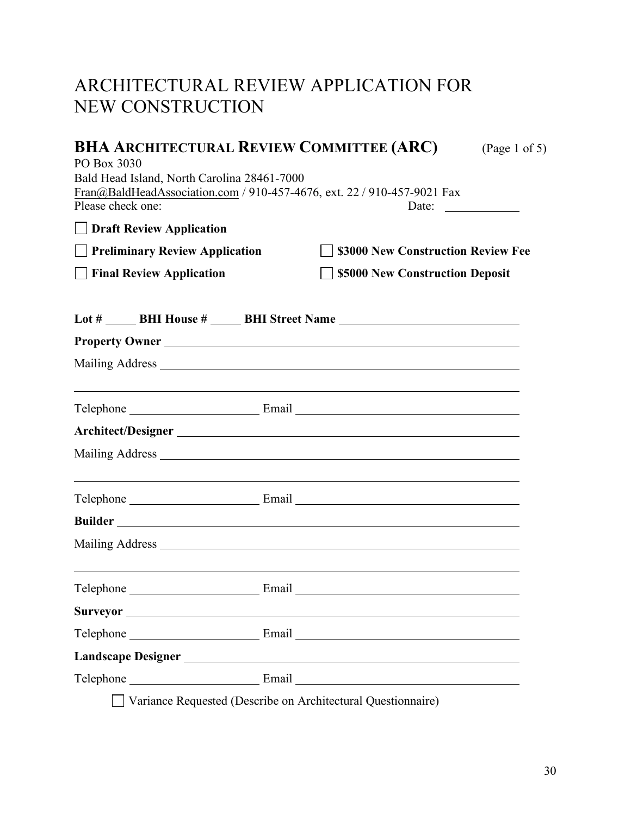## ARCHITECTURAL REVIEW APPLICATION FOR NEW CONSTRUCTION

| <b>BHA ARCHITECTURAL REVIEW COMMITTEE (ARC)</b><br>(Page 1 of 5)<br>PO Box 3030<br>Bald Head Island, North Carolina 28461-7000<br>Fran@BaldHeadAssociation.com / 910-457-4676, ext. 22 / 910-457-9021 Fax<br>Please check one:<br>Date:<br><b>Draft Review Application</b> |                                                                                                                                                                                                                                                                                                                     |  |  |  |
|----------------------------------------------------------------------------------------------------------------------------------------------------------------------------------------------------------------------------------------------------------------------------|---------------------------------------------------------------------------------------------------------------------------------------------------------------------------------------------------------------------------------------------------------------------------------------------------------------------|--|--|--|
|                                                                                                                                                                                                                                                                            |                                                                                                                                                                                                                                                                                                                     |  |  |  |
| $\Box$ Final Review Application                                                                                                                                                                                                                                            | \$5000 New Construction Deposit                                                                                                                                                                                                                                                                                     |  |  |  |
|                                                                                                                                                                                                                                                                            |                                                                                                                                                                                                                                                                                                                     |  |  |  |
|                                                                                                                                                                                                                                                                            | Property Owner                                                                                                                                                                                                                                                                                                      |  |  |  |
|                                                                                                                                                                                                                                                                            |                                                                                                                                                                                                                                                                                                                     |  |  |  |
|                                                                                                                                                                                                                                                                            |                                                                                                                                                                                                                                                                                                                     |  |  |  |
|                                                                                                                                                                                                                                                                            | Architect/Designer                                                                                                                                                                                                                                                                                                  |  |  |  |
|                                                                                                                                                                                                                                                                            |                                                                                                                                                                                                                                                                                                                     |  |  |  |
|                                                                                                                                                                                                                                                                            |                                                                                                                                                                                                                                                                                                                     |  |  |  |
|                                                                                                                                                                                                                                                                            |                                                                                                                                                                                                                                                                                                                     |  |  |  |
|                                                                                                                                                                                                                                                                            |                                                                                                                                                                                                                                                                                                                     |  |  |  |
|                                                                                                                                                                                                                                                                            |                                                                                                                                                                                                                                                                                                                     |  |  |  |
|                                                                                                                                                                                                                                                                            |                                                                                                                                                                                                                                                                                                                     |  |  |  |
|                                                                                                                                                                                                                                                                            |                                                                                                                                                                                                                                                                                                                     |  |  |  |
|                                                                                                                                                                                                                                                                            |                                                                                                                                                                                                                                                                                                                     |  |  |  |
|                                                                                                                                                                                                                                                                            |                                                                                                                                                                                                                                                                                                                     |  |  |  |
| $\sim$ $\sim$ $\sim$ $\sim$                                                                                                                                                                                                                                                | $\frac{1}{2}$ $\frac{1}{2}$ $\frac{1}{2}$ $\frac{1}{2}$ $\frac{1}{2}$ $\frac{1}{2}$ $\frac{1}{2}$ $\frac{1}{2}$ $\frac{1}{2}$ $\frac{1}{2}$ $\frac{1}{2}$ $\frac{1}{2}$ $\frac{1}{2}$ $\frac{1}{2}$ $\frac{1}{2}$ $\frac{1}{2}$ $\frac{1}{2}$ $\frac{1}{2}$ $\frac{1}{2}$ $\frac{1}{2}$ $\frac{1}{2}$ $\frac{1}{2}$ |  |  |  |

Variance Requested (Describe on Architectural Questionnaire)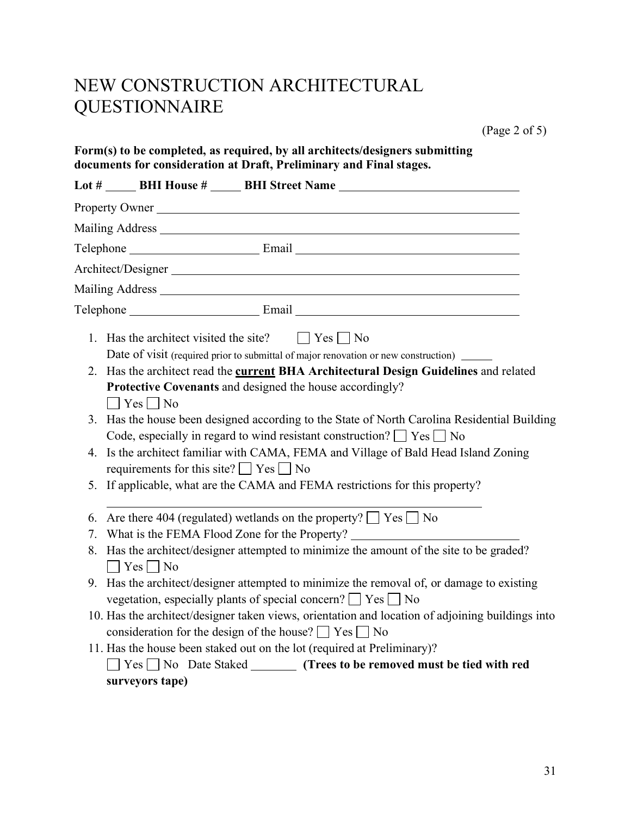## NEW CONSTRUCTION ARCHITECTURAL QUESTIONNAIRE

(Page 2 of 5)

|    | Property Owner                                                                                                                                                                  |
|----|---------------------------------------------------------------------------------------------------------------------------------------------------------------------------------|
|    |                                                                                                                                                                                 |
|    |                                                                                                                                                                                 |
|    | Architect/Designer                                                                                                                                                              |
|    |                                                                                                                                                                                 |
|    |                                                                                                                                                                                 |
|    | 1. Has the architect visited the site? $ $ $ $ $Yes$ $ $ $ $ No                                                                                                                 |
|    | Date of visit (required prior to submittal of major renovation or new construction) _____                                                                                       |
|    | 2. Has the architect read the current BHA Architectural Design Guidelines and related                                                                                           |
|    | Protective Covenants and designed the house accordingly?                                                                                                                        |
|    | $\Box$ Yes $\Box$ No                                                                                                                                                            |
|    | 3. Has the house been designed according to the State of North Carolina Residential Building<br>Code, especially in regard to wind resistant construction? $\Box$ Yes $\Box$ No |
| 4. | Is the architect familiar with CAMA, FEMA and Village of Bald Head Island Zoning<br>requirements for this site? $\Box$ Yes $\Box$ No                                            |
| 5. | If applicable, what are the CAMA and FEMA restrictions for this property?                                                                                                       |
| 6. | Are there 404 (regulated) wetlands on the property? $\Box$ Yes $\Box$ No                                                                                                        |
| 7. | What is the FEMA Flood Zone for the Property?                                                                                                                                   |
| 8. | Has the architect/designer attempted to minimize the amount of the site to be graded?                                                                                           |
|    | $\Box$ Yes $\Box$ No                                                                                                                                                            |
|    | 9. Has the architect/designer attempted to minimize the removal of, or damage to existing                                                                                       |
|    | vegetation, especially plants of special concern? $\Box$ Yes $\Box$ No                                                                                                          |
|    | 10. Has the architect/designer taken views, orientation and location of adjoining buildings into                                                                                |
|    | consideration for the design of the house? $\Box$ Yes $\Box$ No                                                                                                                 |
|    | 11. Has the house been staked out on the lot (required at Preliminary)?                                                                                                         |
|    | $\Box$ Yes $\Box$ No Date Staked _________ (Trees to be removed must be tied with red                                                                                           |
|    | surveyors tape)                                                                                                                                                                 |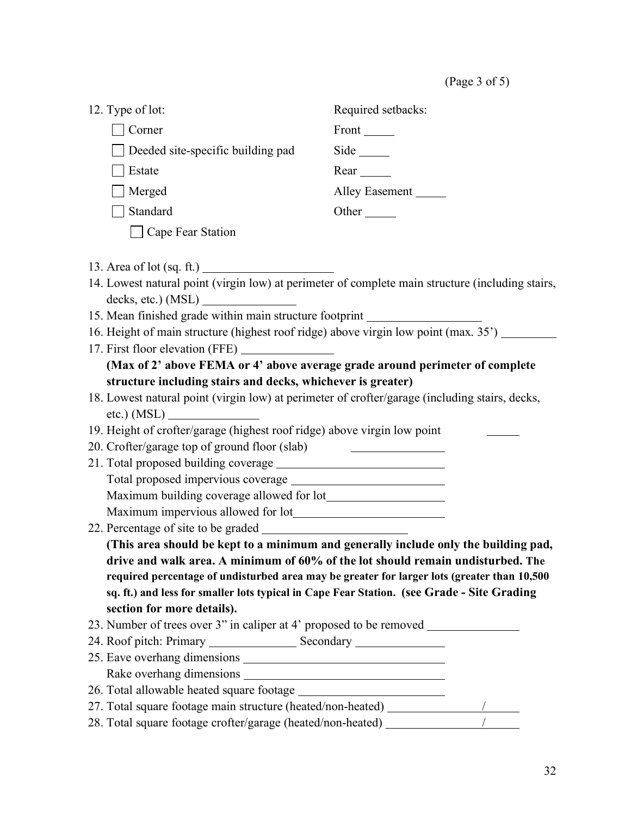(Page 3 of 5)

| 12. Type of lot:                                                                                 | Required setbacks:                                                                          |  |
|--------------------------------------------------------------------------------------------------|---------------------------------------------------------------------------------------------|--|
| Corner                                                                                           | Front _______                                                                               |  |
| Deeded site-specific building pad                                                                | Side                                                                                        |  |
| Estate                                                                                           | $Rear$ <sub>_____</sub>                                                                     |  |
| Merged                                                                                           | Alley Easement                                                                              |  |
| Standard                                                                                         |                                                                                             |  |
| □ Cape Fear Station                                                                              |                                                                                             |  |
|                                                                                                  |                                                                                             |  |
| 14. Lowest natural point (virgin low) at perimeter of complete main structure (including stairs, |                                                                                             |  |
| decks, etc.) (MSL)                                                                               |                                                                                             |  |
| 15. Mean finished grade within main structure footprint                                          |                                                                                             |  |
| 16. Height of main structure (highest roof ridge) above virgin low point (max. 35') ______       |                                                                                             |  |
|                                                                                                  |                                                                                             |  |
| (Max of 2' above FEMA or 4' above average grade around perimeter of complete                     |                                                                                             |  |
| structure including stairs and decks, whichever is greater)                                      |                                                                                             |  |
| 18. Lowest natural point (virgin low) at perimeter of crofter/garage (including stairs, decks,   |                                                                                             |  |
| etc.) $(MSL)$                                                                                    |                                                                                             |  |
| 19. Height of crofter/garage (highest roof ridge) above virgin low point                         |                                                                                             |  |
| 20. Crofter/garage top of ground floor (slab)                                                    |                                                                                             |  |
|                                                                                                  |                                                                                             |  |
|                                                                                                  |                                                                                             |  |
|                                                                                                  |                                                                                             |  |
|                                                                                                  |                                                                                             |  |
|                                                                                                  |                                                                                             |  |
|                                                                                                  | (This area should be kept to a minimum and generally include only the building pad,         |  |
| drive and walk area. A minimum of 60% of the lot should remain undisturbed. The                  |                                                                                             |  |
|                                                                                                  | required percentage of undisturbed area may be greater for larger lots (greater than 10,500 |  |
| sq. ft.) and less for smaller lots typical in Cape Fear Station. (see Grade - Site Grading       |                                                                                             |  |
| section for more details).                                                                       |                                                                                             |  |
| 23. Number of trees over 3" in caliper at 4" proposed to be removed ____________                 |                                                                                             |  |
|                                                                                                  |                                                                                             |  |
|                                                                                                  |                                                                                             |  |
|                                                                                                  |                                                                                             |  |
|                                                                                                  |                                                                                             |  |
|                                                                                                  |                                                                                             |  |
|                                                                                                  |                                                                                             |  |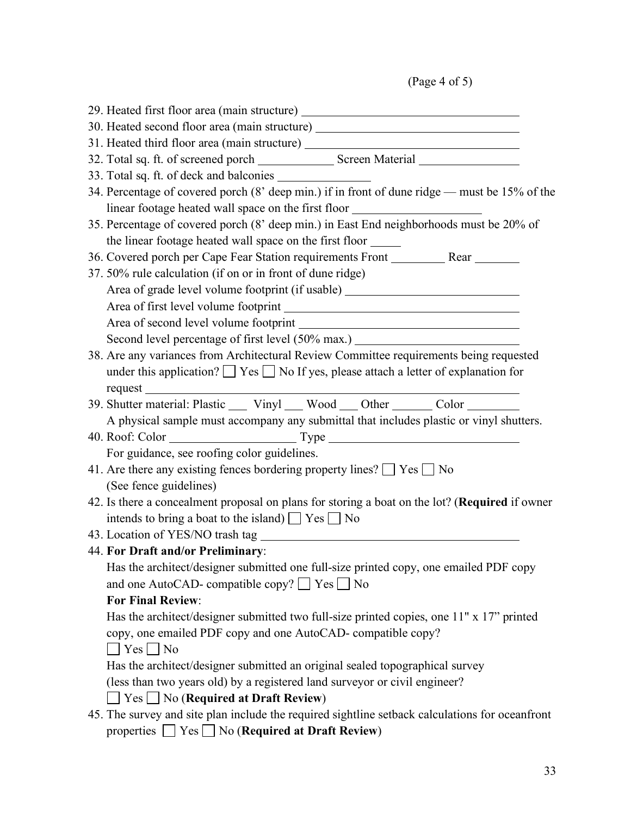(Page 4 of 5)

| 29. Heated first floor area (main structure) ___________________________________                |  |  |  |
|-------------------------------------------------------------------------------------------------|--|--|--|
| 30. Heated second floor area (main structure) __________________________________                |  |  |  |
| 31. Heated third floor area (main structure) ___________________________________                |  |  |  |
|                                                                                                 |  |  |  |
|                                                                                                 |  |  |  |
| 34. Percentage of covered porch (8' deep min.) if in front of dune ridge — must be 15% of the   |  |  |  |
| linear footage heated wall space on the first floor ____________________________                |  |  |  |
| 35. Percentage of covered porch (8' deep min.) in East End neighborhoods must be 20% of         |  |  |  |
| the linear footage heated wall space on the first floor _______                                 |  |  |  |
| 36. Covered porch per Cape Fear Station requirements Front __________ Rear _______              |  |  |  |
| 37. 50% rule calculation (if on or in front of dune ridge)                                      |  |  |  |
| Area of grade level volume footprint (if usable) _______________________________                |  |  |  |
|                                                                                                 |  |  |  |
| Area of second level volume footprint                                                           |  |  |  |
| Second level percentage of first level (50% max.) ______________________________                |  |  |  |
| 38. Are any variances from Architectural Review Committee requirements being requested          |  |  |  |
| under this application? $\Box$ Yes $\Box$ No If yes, please attach a letter of explanation for  |  |  |  |
|                                                                                                 |  |  |  |
| 39. Shutter material: Plastic ____ Vinyl ___ Wood ___ Other _______ Color _______               |  |  |  |
| A physical sample must accompany any submittal that includes plastic or vinyl shutters.         |  |  |  |
|                                                                                                 |  |  |  |
| For guidance, see roofing color guidelines.                                                     |  |  |  |
| 41. Are there any existing fences bordering property lines? $\Box$ Yes $\Box$ No                |  |  |  |
| (See fence guidelines)                                                                          |  |  |  |
| 42. Is there a concealment proposal on plans for storing a boat on the lot? (Required if owner  |  |  |  |
| intends to bring a boat to the island) $\Box$ Yes $\Box$ No                                     |  |  |  |
|                                                                                                 |  |  |  |
| 44. For Draft and/or Preliminary:                                                               |  |  |  |
| Has the architect/designer submitted one full-size printed copy, one emailed PDF copy           |  |  |  |
| and one AutoCAD- compatible copy? □ Yes □ No                                                    |  |  |  |
| <b>For Final Review:</b>                                                                        |  |  |  |
| Has the architect/designer submitted two full-size printed copies, one 11" x 17" printed        |  |  |  |
| copy, one emailed PDF copy and one AutoCAD-compatible copy?                                     |  |  |  |
| $\Box$ Yes $\Box$ No                                                                            |  |  |  |
| Has the architect/designer submitted an original sealed topographical survey                    |  |  |  |
| (less than two years old) by a registered land surveyor or civil engineer?                      |  |  |  |
| $\Box$ Yes $\Box$ No (Required at Draft Review)                                                 |  |  |  |
| 45. The survey and site plan include the required sightline setback calculations for oceanfront |  |  |  |
| properties $\Box$ Yes $\Box$ No (Required at Draft Review)                                      |  |  |  |